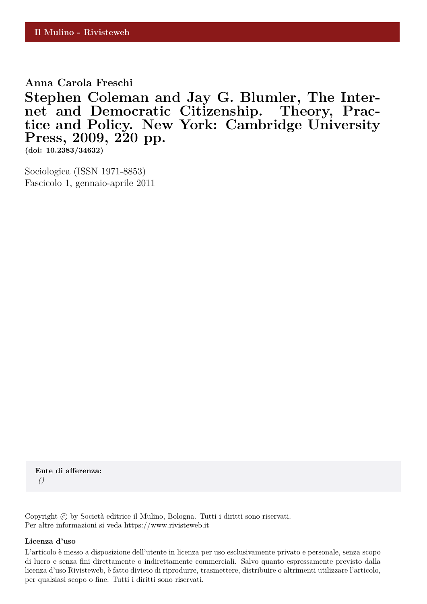**Anna Carola Freschi**

**Stephen Coleman and Jay G. Blumler, The Internet and Democratic Citizenship. Theory, Practice and Policy. New York: Cambridge University Press, 2009, 220 pp.**

**(doi: 10.2383/34632)**

Sociologica (ISSN 1971-8853) Fascicolo 1, gennaio-aprile 2011

**Ente di afferenza:** *()*

Copyright © by Società editrice il Mulino, Bologna. Tutti i diritti sono riservati. Per altre informazioni si veda https://www.rivisteweb.it

## **Licenza d'uso**

L'articolo è messo a disposizione dell'utente in licenza per uso esclusivamente privato e personale, senza scopo di lucro e senza fini direttamente o indirettamente commerciali. Salvo quanto espressamente previsto dalla licenza d'uso Rivisteweb, è fatto divieto di riprodurre, trasmettere, distribuire o altrimenti utilizzare l'articolo, per qualsiasi scopo o fine. Tutti i diritti sono riservati.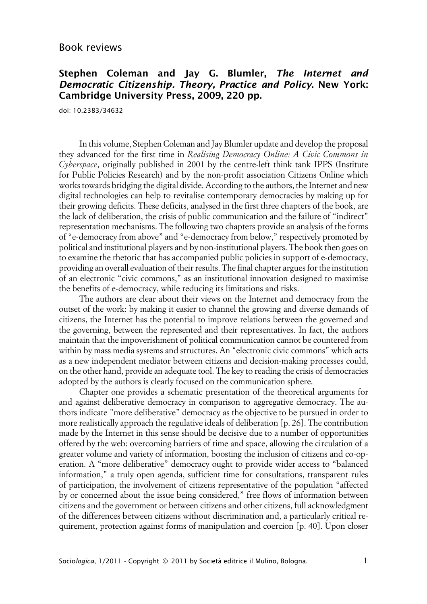## Book reviews

## **Stephen Coleman and Jay G. Blumler, The Internet and Democratic Citizenship. Theory, Practice and Policy. New York: Cambridge University Press, 2009, 220 pp.**

doi: 10.2383/34632

In this volume, Stephen Coleman and Jay Blumler update and develop the proposal they advanced for the first time in *Realising Democracy Online: A Civic Commons in Cyberspace*, originally published in 2001 by the centre-left think tank IPPS (Institute for Public Policies Research) and by the non-profit association Citizens Online which works towards bridging the digital divide. According to the authors, the Internet and new digital technologies can help to revitalise contemporary democracies by making up for their growing deficits. These deficits, analysed in the first three chapters of the book, are the lack of deliberation, the crisis of public communication and the failure of "indirect" representation mechanisms. The following two chapters provide an analysis of the forms of "e-democracy from above" and "e-democracy from below," respectively promoted by political and institutional players and by non-institutional players. The book then goes on to examine the rhetoric that has accompanied public policies in support of e-democracy, providing an overall evaluation of their results. The final chapter argues for the institution of an electronic "civic commons," as an institutional innovation designed to maximise the benefits of e-democracy, while reducing its limitations and risks.

The authors are clear about their views on the Internet and democracy from the outset of the work: by making it easier to channel the growing and diverse demands of citizens, the Internet has the potential to improve relations between the governed and the governing, between the represented and their representatives. In fact, the authors maintain that the impoverishment of political communication cannot be countered from within by mass media systems and structures. An "electronic civic commons" which acts as a new independent mediator between citizens and decision-making processes could, on the other hand, provide an adequate tool. The key to reading the crisis of democracies adopted by the authors is clearly focused on the communication sphere.

Chapter one provides a schematic presentation of the theoretical arguments for and against deliberative democracy in comparison to aggregative democracy. The authors indicate "more deliberative" democracy as the objective to be pursued in order to more realistically approach the regulative ideals of deliberation [p. 26]. The contribution made by the Internet in this sense should be decisive due to a number of opportunities offered by the web: overcoming barriers of time and space, allowing the circulation of a greater volume and variety of information, boosting the inclusion of citizens and co-operation. A "more deliberative" democracy ought to provide wider access to "balanced information," a truly open agenda, sufficient time for consultations, transparent rules of participation, the involvement of citizens representative of the population "affected by or concerned about the issue being considered," free flows of information between citizens and the government or between citizens and other citizens, full acknowledgment of the differences between citizens without discrimination and, a particularly critical requirement, protection against forms of manipulation and coercion [p. 40]. Upon closer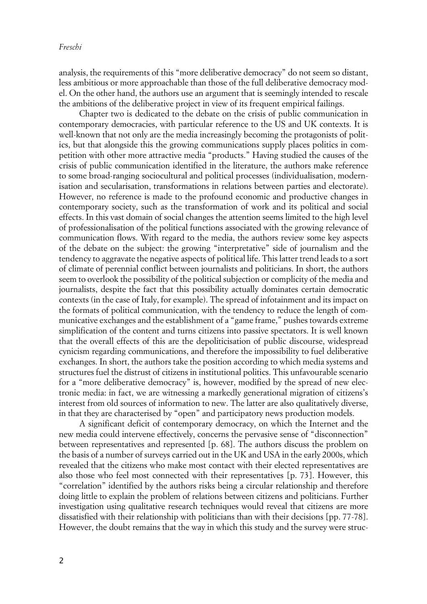analysis, the requirements of this "more deliberative democracy" do not seem so distant, less ambitious or more approachable than those of the full deliberative democracy model. On the other hand, the authors use an argument that is seemingly intended to rescale the ambitions of the deliberative project in view of its frequent empirical failings.

Chapter two is dedicated to the debate on the crisis of public communication in contemporary democracies, with particular reference to the US and UK contexts. It is well-known that not only are the media increasingly becoming the protagonists of politics, but that alongside this the growing communications supply places politics in competition with other more attractive media "products." Having studied the causes of the crisis of public communication identified in the literature, the authors make reference to some broad-ranging sociocultural and political processes (individualisation, modernisation and secularisation, transformations in relations between parties and electorate). However, no reference is made to the profound economic and productive changes in contemporary society, such as the transformation of work and its political and social effects. In this vast domain of social changes the attention seems limited to the high level of professionalisation of the political functions associated with the growing relevance of communication flows. With regard to the media, the authors review some key aspects of the debate on the subject: the growing "interpretative" side of journalism and the tendency to aggravate the negative aspects of political life. This latter trend leads to a sort of climate of perennial conflict between journalists and politicians. In short, the authors seem to overlook the possibility of the political subjection or complicity of the media and journalists, despite the fact that this possibility actually dominates certain democratic contexts (in the case of Italy, for example). The spread of infotainment and its impact on the formats of political communication, with the tendency to reduce the length of communicative exchanges and the establishment of a "game frame," pushes towards extreme simplification of the content and turns citizens into passive spectators. It is well known that the overall effects of this are the depoliticisation of public discourse, widespread cynicism regarding communications, and therefore the impossibility to fuel deliberative exchanges. In short, the authors take the position according to which media systems and structures fuel the distrust of citizens in institutional politics. This unfavourable scenario for a "more deliberative democracy" is, however, modified by the spread of new electronic media: in fact, we are witnessing a markedly generational migration of citizens's interest from old sources of information to new. The latter are also qualitatively diverse, in that they are characterised by "open" and participatory news production models.

A significant deficit of contemporary democracy, on which the Internet and the new media could intervene effectively, concerns the pervasive sense of "disconnection" between representatives and represented [p. 68]. The authors discuss the problem on the basis of a number of surveys carried out in the UK and USA in the early 2000s, which revealed that the citizens who make most contact with their elected representatives are also those who feel most connected with their representatives [p. 73]. However, this "correlation" identified by the authors risks being a circular relationship and therefore doing little to explain the problem of relations between citizens and politicians. Further investigation using qualitative research techniques would reveal that citizens are more dissatisfied with their relationship with politicians than with their decisions [pp. 77-78]. However, the doubt remains that the way in which this study and the survey were struc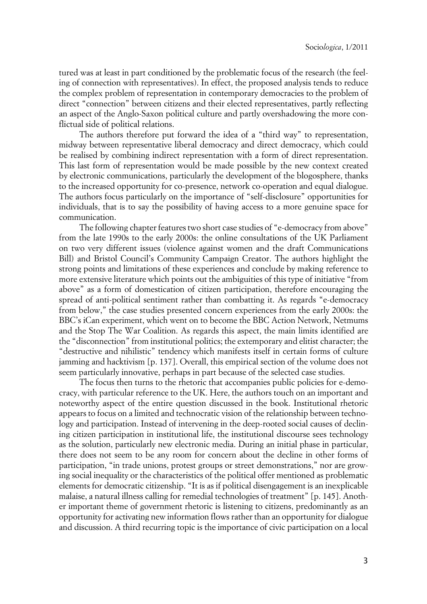tured was at least in part conditioned by the problematic focus of the research (the feeling of connection with representatives). In effect, the proposed analysis tends to reduce the complex problem of representation in contemporary democracies to the problem of direct "connection" between citizens and their elected representatives, partly reflecting an aspect of the Anglo-Saxon political culture and partly overshadowing the more conflictual side of political relations.

The authors therefore put forward the idea of a "third way" to representation, midway between representative liberal democracy and direct democracy, which could be realised by combining indirect representation with a form of direct representation. This last form of representation would be made possible by the new context created by electronic communications, particularly the development of the blogosphere, thanks to the increased opportunity for co-presence, network co-operation and equal dialogue. The authors focus particularly on the importance of "self-disclosure" opportunities for individuals, that is to say the possibility of having access to a more genuine space for communication.

The following chapter features two short case studies of "e-democracy from above" from the late 1990s to the early 2000s: the online consultations of the UK Parliament on two very different issues (violence against women and the draft Communications Bill) and Bristol Council's Community Campaign Creator. The authors highlight the strong points and limitations of these experiences and conclude by making reference to more extensive literature which points out the ambiguities of this type of initiative "from above" as a form of domestication of citizen participation, therefore encouraging the spread of anti-political sentiment rather than combatting it. As regards "e-democracy from below," the case studies presented concern experiences from the early 2000s: the BBC's iCan experiment, which went on to become the BBC Action Network, Netmums and the Stop The War Coalition. As regards this aspect, the main limits identified are the "disconnection" from institutional politics; the extemporary and elitist character; the "destructive and nihilistic" tendency which manifests itself in certain forms of culture jamming and hacktivism [p. 137]. Overall, this empirical section of the volume does not seem particularly innovative, perhaps in part because of the selected case studies.

The focus then turns to the rhetoric that accompanies public policies for e-democracy, with particular reference to the UK. Here, the authors touch on an important and noteworthy aspect of the entire question discussed in the book. Institutional rhetoric appears to focus on a limited and technocratic vision of the relationship between technology and participation. Instead of intervening in the deep-rooted social causes of declining citizen participation in institutional life, the institutional discourse sees technology as the solution, particularly new electronic media. During an initial phase in particular, there does not seem to be any room for concern about the decline in other forms of participation, "in trade unions, protest groups or street demonstrations," nor are growing social inequality or the characteristics of the political offer mentioned as problematic elements for democratic citizenship. "It is as if political disengagement is an inexplicable malaise, a natural illness calling for remedial technologies of treatment" [p. 145]. Another important theme of government rhetoric is listening to citizens, predominantly as an opportunity for activating new information flows rather than an opportunity for dialogue and discussion. A third recurring topic is the importance of civic participation on a local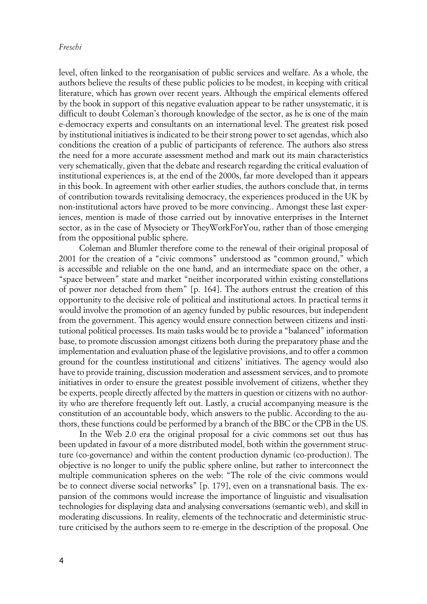level, often linked to the reorganisation of public services and welfare. As a whole, the authors believe the results of these public policies to be modest, in keeping with critical literature, which has grown over recent years. Although the empirical elements offered by the book in support of this negative evaluation appear to be rather unsystematic, it is difficult to doubt Coleman's thorough knowledge of the sector, as he is one of the main e-democracy experts and consultants on an international level. The greatest risk posed by institutional initiatives is indicated to be their strong power to set agendas, which also conditions the creation of a public of participants of reference. The authors also stress the need for a more accurate assessment method and mark out its main characteristics very schematically, given that the debate and research regarding the critical evaluation of institutional experiences is, at the end of the 2000s, far more developed than it appears in this book. In agreement with other earlier studies, the authors conclude that, in terms of contribution towards revitalising democracy, the experiences produced in the UK by non-institutional actors have proved to be more convincing.. Amongst these last experiences, mention is made of those carried out by innovative enterprises in the Internet sector, as in the case of Mysociety or TheyWorkForYou, rather than of those emerging from the oppositional public sphere.

Coleman and Blumler therefore come to the renewal of their original proposal of 2001 for the creation of a "civic commons" understood as "common ground," which is accessible and reliable on the one hand, and an intermediate space on the other, a "space between" state and market "neither incorporated within existing constellations of power nor detached from them" [p. 164]. The authors entrust the creation of this opportunity to the decisive role of political and institutional actors. In practical terms it would involve the promotion of an agency funded by public resources, but independent from the government. This agency would ensure connection between citizens and institutional political processes. Its main tasks would be to provide a "balanced" information base, to promote discussion amongst citizens both during the preparatory phase and the implementation and evaluation phase of the legislative provisions, and to offer a common ground for the countless institutional and citizens' initiatives. The agency would also have to provide training, discussion moderation and assessment services, and to promote initiatives in order to ensure the greatest possible involvement of citizens, whether they be experts, people directly affected by the matters in question or citizens with no authority who are therefore frequently left out. Lastly, a crucial accompanying measure is the constitution of an accountable body, which answers to the public. According to the authors, these functions could be performed by a branch of the BBC or the CPB in the US.

In the Web 2.0 era the original proposal for a civic commons set out thus has been updated in favour of a more distributed model, both within the government structure (co-governance) and within the content production dynamic (co-production). The objective is no longer to unify the public sphere online, but rather to interconnect the multiple communication spheres on the web: "The role of the civic commons would be to connect diverse social networks" [p. 179], even on a transnational basis. The expansion of the commons would increase the importance of linguistic and visualisation technologies for displaying data and analysing conversations (semantic web), and skill in moderating discussions. In reality, elements of the technocratic and deterministic structure criticised by the authors seem to re-emerge in the description of the proposal. One